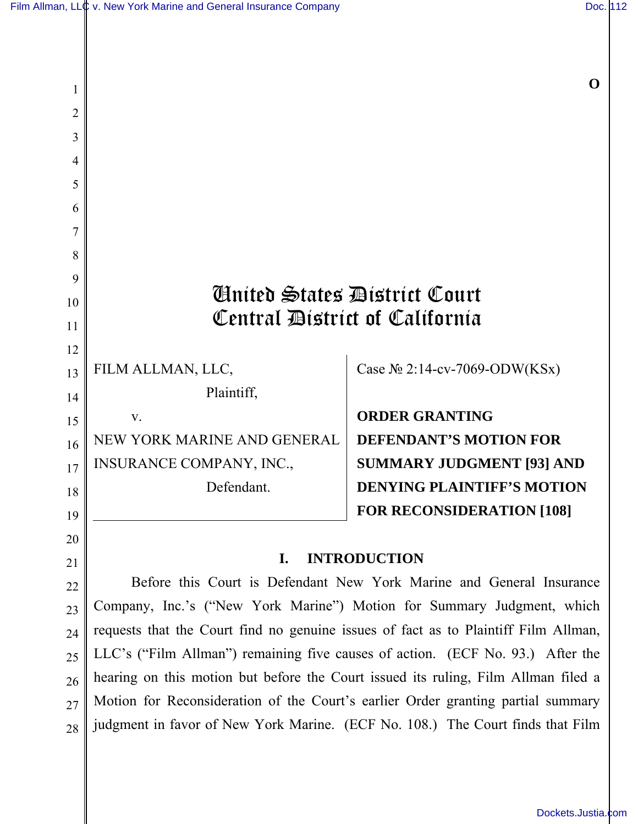2

3

20

21

**O** 

| 4  |                                                                       |                                   |
|----|-----------------------------------------------------------------------|-----------------------------------|
| 5  |                                                                       |                                   |
| 6  |                                                                       |                                   |
|    |                                                                       |                                   |
| 8  |                                                                       |                                   |
| 9  |                                                                       |                                   |
| 10 | <b>Anited States Bistrict Court</b><br>Central District of California |                                   |
| 11 |                                                                       |                                   |
| 12 |                                                                       |                                   |
| 13 | FILM ALLMAN, LLC,                                                     | Case $N_2$ 2:14-cv-7069-ODW(KSx)  |
| 14 | Plaintiff,                                                            |                                   |
| 15 | V.                                                                    | <b>ORDER GRANTING</b>             |
| 16 | NEW YORK MARINE AND GENERAL                                           | <b>DEFENDANT'S MOTION FOR</b>     |
| 17 | <b>INSURANCE COMPANY, INC.,</b>                                       | <b>SUMMARY JUDGMENT [93] AND</b>  |
| 18 | Defendant.                                                            | <b>DENYING PLAINTIFF'S MOTION</b> |
| 19 |                                                                       | <b>FOR RECONSIDERATION [108]</b>  |

## **I. INTRODUCTION**

Before this Court is Defendant New York Marine and General Insurance Company, Inc.'s ("New York Marine") Motion for Summary Judgment, which requests that the Court find no genuine issues of fact as to Plaintiff Film Allman, LLC's ("Film Allman") remaining five causes of action. (ECF No. 93.) After the hearing on this motion but before the Court issued its ruling, Film Allman filed a Motion for Reconsideration of the Court's earlier Order granting partial summary judgment in favor of New York Marine. (ECF No. 108.) The Court finds that Film 22 23 24 25 26 27 28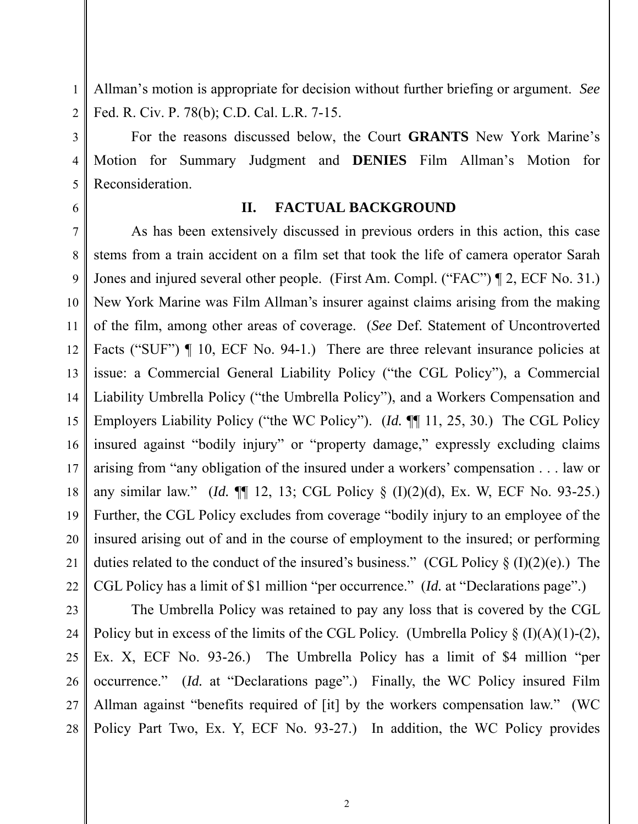Allman's motion is appropriate for decision without further briefing or argument. *See* Fed. R. Civ. P. 78(b); C.D. Cal. L.R. 7-15.

For the reasons discussed below, the Court **GRANTS** New York Marine's Motion for Summary Judgment and **DENIES** Film Allman's Motion for Reconsideration.

6

1

2

3

4

5

#### **II. FACTUAL BACKGROUND**

7 8 9 10 11 12 13 14 15 16 17 18 19 20 21 22 As has been extensively discussed in previous orders in this action, this case stems from a train accident on a film set that took the life of camera operator Sarah Jones and injured several other people. (First Am. Compl. ("FAC") ¶ 2, ECF No. 31.) New York Marine was Film Allman's insurer against claims arising from the making of the film, among other areas of coverage. (*See* Def. Statement of Uncontroverted Facts ("SUF")  $\P$  10, ECF No. 94-1.) There are three relevant insurance policies at issue: a Commercial General Liability Policy ("the CGL Policy"), a Commercial Liability Umbrella Policy ("the Umbrella Policy"), and a Workers Compensation and Employers Liability Policy ("the WC Policy"). (*Id.* ¶¶ 11, 25, 30.) The CGL Policy insured against "bodily injury" or "property damage," expressly excluding claims arising from "any obligation of the insured under a workers' compensation . . . law or any similar law." (*Id.* ¶¶ 12, 13; CGL Policy § (I)(2)(d), Ex. W, ECF No. 93-25.) Further, the CGL Policy excludes from coverage "bodily injury to an employee of the insured arising out of and in the course of employment to the insured; or performing duties related to the conduct of the insured's business." (CGL Policy  $\S$  (I)(2)(e).) The CGL Policy has a limit of \$1 million "per occurrence." (*Id.* at "Declarations page".)

23 24 25 26 27 28 The Umbrella Policy was retained to pay any loss that is covered by the CGL Policy but in excess of the limits of the CGL Policy. (Umbrella Policy  $\S$  (I)(A)(1)-(2), Ex. X, ECF No. 93-26.) The Umbrella Policy has a limit of \$4 million "per occurrence." (*Id.* at "Declarations page".) Finally, the WC Policy insured Film Allman against "benefits required of [it] by the workers compensation law." (WC Policy Part Two, Ex. Y, ECF No. 93-27.) In addition, the WC Policy provides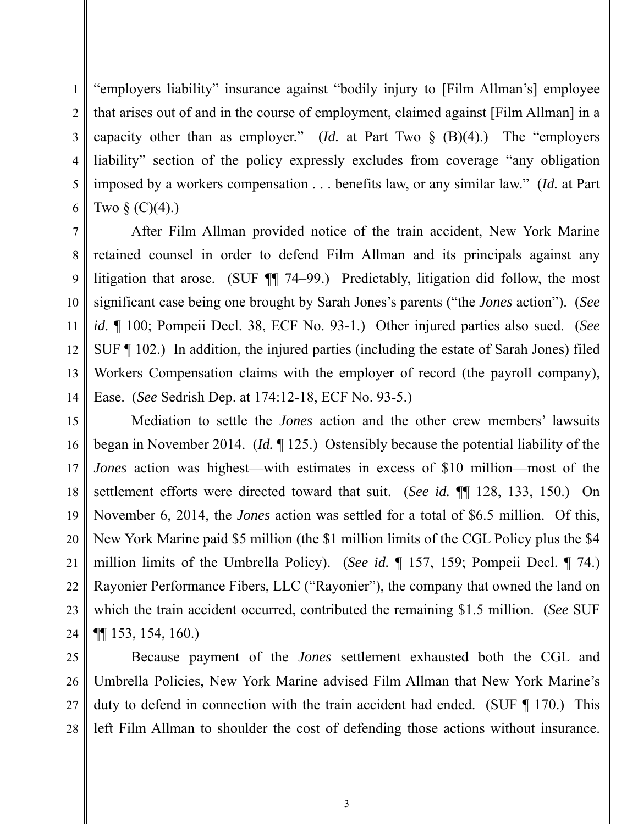"employers liability" insurance against "bodily injury to [Film Allman's] employee that arises out of and in the course of employment, claimed against [Film Allman] in a capacity other than as employer." (*Id.* at Part Two  $\S$  (B)(4).) The "employers liability" section of the policy expressly excludes from coverage "any obligation imposed by a workers compensation . . . benefits law, or any similar law." (*Id.* at Part Two  $\S$  (C)(4).)

After Film Allman provided notice of the train accident, New York Marine retained counsel in order to defend Film Allman and its principals against any litigation that arose. (SUF ¶¶ 74–99.) Predictably, litigation did follow, the most significant case being one brought by Sarah Jones's parents ("the *Jones* action"). (*See id.* ¶ 100; Pompeii Decl. 38, ECF No. 93-1.) Other injured parties also sued. (*See* SUF ¶ 102.) In addition, the injured parties (including the estate of Sarah Jones) filed Workers Compensation claims with the employer of record (the payroll company), Ease. (*See* Sedrish Dep. at 174:12-18, ECF No. 93-5.)

Mediation to settle the *Jones* action and the other crew members' lawsuits began in November 2014. (*Id.* ¶ 125.) Ostensibly because the potential liability of the *Jones* action was highest—with estimates in excess of \$10 million—most of the settlement efforts were directed toward that suit. (*See id.* ¶¶ 128, 133, 150.) On November 6, 2014, the *Jones* action was settled for a total of \$6.5 million. Of this, New York Marine paid \$5 million (the \$1 million limits of the CGL Policy plus the \$4 million limits of the Umbrella Policy). (*See id.* ¶ 157, 159; Pompeii Decl. ¶ 74.) Rayonier Performance Fibers, LLC ("Rayonier"), the company that owned the land on which the train accident occurred, contributed the remaining \$1.5 million. (*See* SUF ¶¶ 153, 154, 160.)

Because payment of the *Jones* settlement exhausted both the CGL and Umbrella Policies, New York Marine advised Film Allman that New York Marine's duty to defend in connection with the train accident had ended. (SUF ¶ 170.) This left Film Allman to shoulder the cost of defending those actions without insurance.

1

2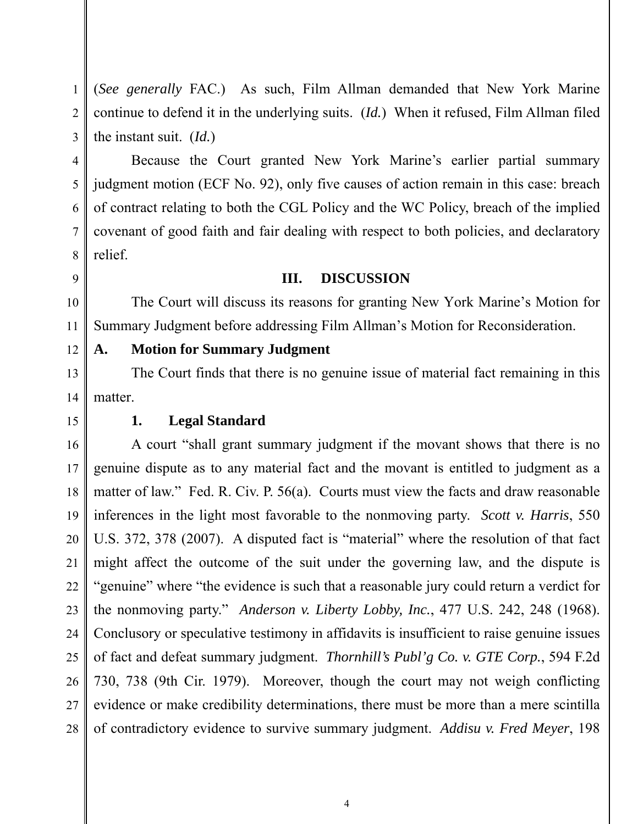(*See generally* FAC.) As such, Film Allman demanded that New York Marine continue to defend it in the underlying suits. (*Id.*) When it refused, Film Allman filed the instant suit. (*Id.*)

Because the Court granted New York Marine's earlier partial summary judgment motion (ECF No. 92), only five causes of action remain in this case: breach of contract relating to both the CGL Policy and the WC Policy, breach of the implied covenant of good faith and fair dealing with respect to both policies, and declaratory relief.

#### **III. DISCUSSION**

The Court will discuss its reasons for granting New York Marine's Motion for Summary Judgment before addressing Film Allman's Motion for Reconsideration.

#### **A. Motion for Summary Judgment**

The Court finds that there is no genuine issue of material fact remaining in this matter.

## **1. Legal Standard**

A court "shall grant summary judgment if the movant shows that there is no genuine dispute as to any material fact and the movant is entitled to judgment as a matter of law." Fed. R. Civ. P. 56(a). Courts must view the facts and draw reasonable inferences in the light most favorable to the nonmoving party. *Scott v. Harris*, 550 U.S. 372, 378 (2007). A disputed fact is "material" where the resolution of that fact might affect the outcome of the suit under the governing law, and the dispute is "genuine" where "the evidence is such that a reasonable jury could return a verdict for the nonmoving party." *Anderson v. Liberty Lobby, Inc.*, 477 U.S. 242, 248 (1968). Conclusory or speculative testimony in affidavits is insufficient to raise genuine issues of fact and defeat summary judgment. *Thornhill's Publ'g Co. v. GTE Corp.*, 594 F.2d 730, 738 (9th Cir. 1979). Moreover, though the court may not weigh conflicting evidence or make credibility determinations, there must be more than a mere scintilla of contradictory evidence to survive summary judgment. *Addisu v. Fred Meyer*, 198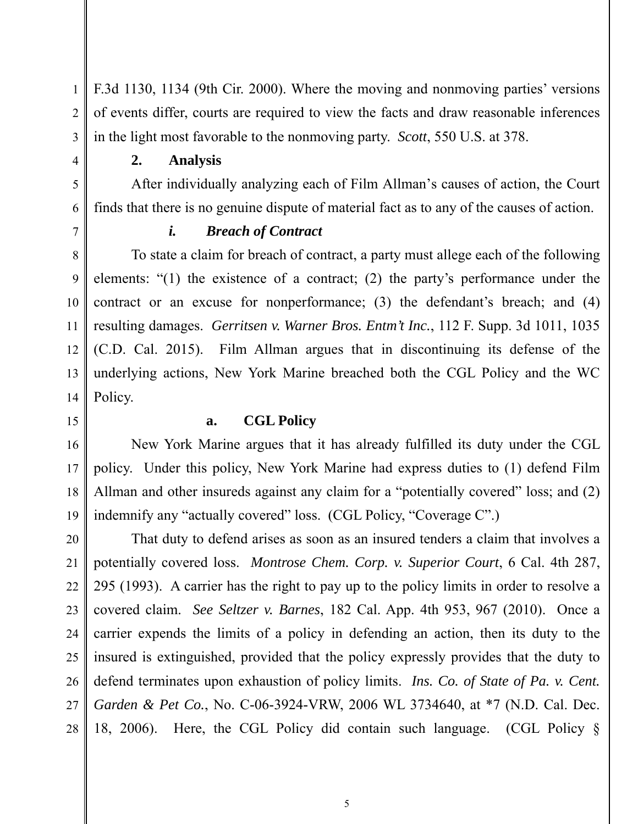F.3d 1130, 1134 (9th Cir. 2000). Where the moving and nonmoving parties' versions of events differ, courts are required to view the facts and draw reasonable inferences in the light most favorable to the nonmoving party. *Scott*, 550 U.S. at 378.

**2. Analysis** 

After individually analyzing each of Film Allman's causes of action, the Court finds that there is no genuine dispute of material fact as to any of the causes of action.

7

1

2

3

4

5

6

8

9

10

11

12

13

14

## *i. Breach of Contract*

To state a claim for breach of contract, a party must allege each of the following elements: "(1) the existence of a contract; (2) the party's performance under the contract or an excuse for nonperformance; (3) the defendant's breach; and (4) resulting damages. *Gerritsen v. Warner Bros. Entm't Inc.*, 112 F. Supp. 3d 1011, 1035 (C.D. Cal. 2015). Film Allman argues that in discontinuing its defense of the underlying actions, New York Marine breached both the CGL Policy and the WC Policy.

15

16

17

18

19

## **a. CGL Policy**

New York Marine argues that it has already fulfilled its duty under the CGL policy. Under this policy, New York Marine had express duties to (1) defend Film Allman and other insureds against any claim for a "potentially covered" loss; and (2) indemnify any "actually covered" loss. (CGL Policy, "Coverage C".)

20 21 22 23 24 25 26 27 28 That duty to defend arises as soon as an insured tenders a claim that involves a potentially covered loss. *Montrose Chem. Corp. v. Superior Court*, 6 Cal. 4th 287, 295 (1993). A carrier has the right to pay up to the policy limits in order to resolve a covered claim. *See Seltzer v. Barnes*, 182 Cal. App. 4th 953, 967 (2010). Once a carrier expends the limits of a policy in defending an action, then its duty to the insured is extinguished, provided that the policy expressly provides that the duty to defend terminates upon exhaustion of policy limits. *Ins. Co. of State of Pa. v. Cent. Garden & Pet Co.*, No. C-06-3924-VRW, 2006 WL 3734640, at \*7 (N.D. Cal. Dec. 18, 2006). Here, the CGL Policy did contain such language. (CGL Policy §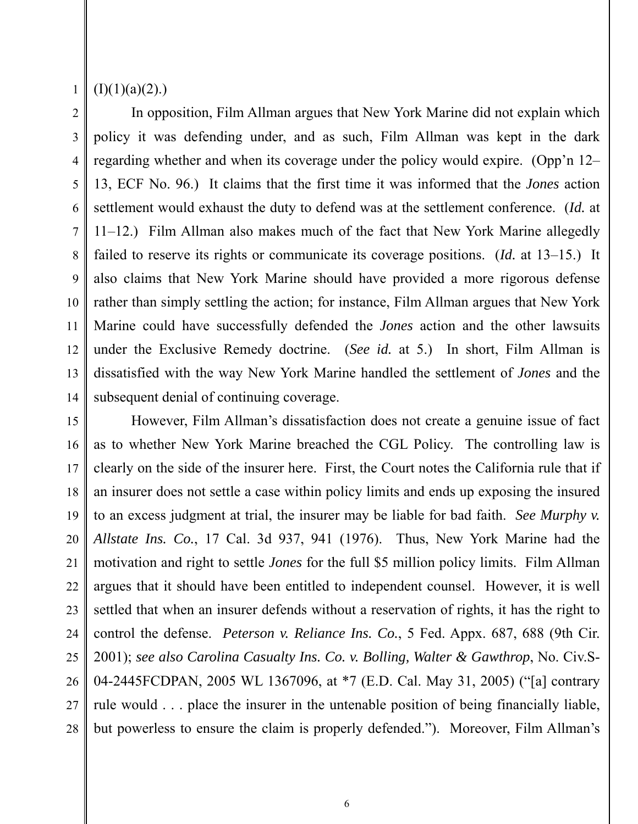4

5

6

7

8

9

10

11

12

13

14

#### $(I)(1)(a)(2)$ .)

In opposition, Film Allman argues that New York Marine did not explain which policy it was defending under, and as such, Film Allman was kept in the dark regarding whether and when its coverage under the policy would expire. (Opp'n 12– 13, ECF No. 96.) It claims that the first time it was informed that the *Jones* action settlement would exhaust the duty to defend was at the settlement conference. (*Id.* at 11–12.) Film Allman also makes much of the fact that New York Marine allegedly failed to reserve its rights or communicate its coverage positions. (*Id.* at 13–15.) It also claims that New York Marine should have provided a more rigorous defense rather than simply settling the action; for instance, Film Allman argues that New York Marine could have successfully defended the *Jones* action and the other lawsuits under the Exclusive Remedy doctrine. (*See id.* at 5.) In short, Film Allman is dissatisfied with the way New York Marine handled the settlement of *Jones* and the subsequent denial of continuing coverage.

15 16 17 18 19 20 21 22 23 24 25 26 27 28 However, Film Allman's dissatisfaction does not create a genuine issue of fact as to whether New York Marine breached the CGL Policy. The controlling law is clearly on the side of the insurer here. First, the Court notes the California rule that if an insurer does not settle a case within policy limits and ends up exposing the insured to an excess judgment at trial, the insurer may be liable for bad faith. *See Murphy v. Allstate Ins. Co.*, 17 Cal. 3d 937, 941 (1976). Thus, New York Marine had the motivation and right to settle *Jones* for the full \$5 million policy limits. Film Allman argues that it should have been entitled to independent counsel. However, it is well settled that when an insurer defends without a reservation of rights, it has the right to control the defense. *Peterson v. Reliance Ins. Co.*, 5 Fed. Appx. 687, 688 (9th Cir. 2001); *see also Carolina Casualty Ins. Co. v. Bolling, Walter & Gawthrop*, No. Civ.S-04-2445FCDPAN, 2005 WL 1367096, at \*7 (E.D. Cal. May 31, 2005) ("[a] contrary rule would . . . place the insurer in the untenable position of being financially liable, but powerless to ensure the claim is properly defended."). Moreover, Film Allman's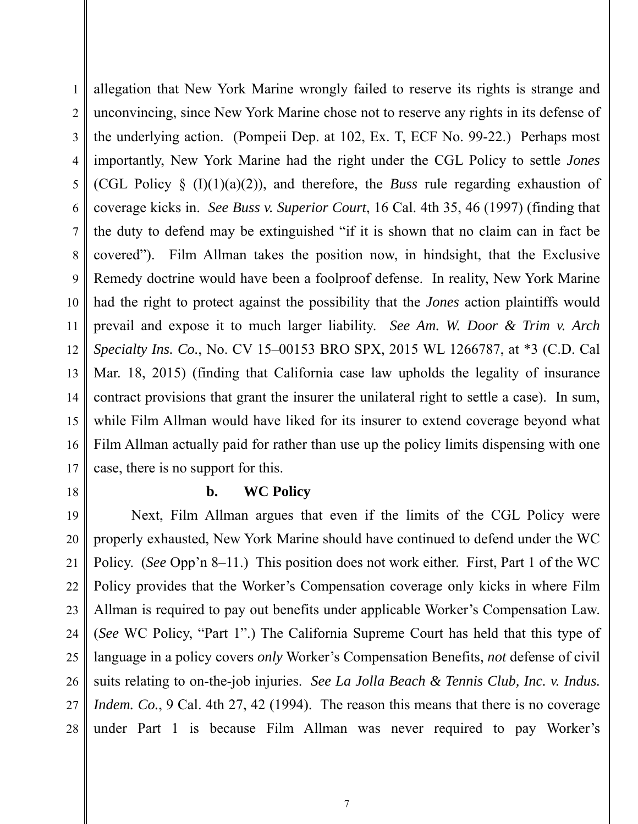1 2 3 4 5 6 7 8 9 10 11 12 13 14 15 16 17 allegation that New York Marine wrongly failed to reserve its rights is strange and unconvincing, since New York Marine chose not to reserve any rights in its defense of the underlying action. (Pompeii Dep. at 102, Ex. T, ECF No. 99-22.) Perhaps most importantly, New York Marine had the right under the CGL Policy to settle *Jones* (CGL Policy § (I)(1)(a)(2)), and therefore, the *Buss* rule regarding exhaustion of coverage kicks in. *See Buss v. Superior Court*, 16 Cal. 4th 35, 46 (1997) (finding that the duty to defend may be extinguished "if it is shown that no claim can in fact be covered"). Film Allman takes the position now, in hindsight, that the Exclusive Remedy doctrine would have been a foolproof defense. In reality, New York Marine had the right to protect against the possibility that the *Jones* action plaintiffs would prevail and expose it to much larger liability. *See Am. W. Door & Trim v. Arch Specialty Ins. Co.*, No. CV 15–00153 BRO SPX, 2015 WL 1266787, at \*3 (C.D. Cal Mar. 18, 2015) (finding that California case law upholds the legality of insurance contract provisions that grant the insurer the unilateral right to settle a case). In sum, while Film Allman would have liked for its insurer to extend coverage beyond what Film Allman actually paid for rather than use up the policy limits dispensing with one case, there is no support for this.

18

## **b. WC Policy**

19 20 21 22 23 24 25 26 27 28 Next, Film Allman argues that even if the limits of the CGL Policy were properly exhausted, New York Marine should have continued to defend under the WC Policy. (*See* Opp'n 8–11.) This position does not work either. First, Part 1 of the WC Policy provides that the Worker's Compensation coverage only kicks in where Film Allman is required to pay out benefits under applicable Worker's Compensation Law. (*See* WC Policy, "Part 1".) The California Supreme Court has held that this type of language in a policy covers *only* Worker's Compensation Benefits, *not* defense of civil suits relating to on-the-job injuries. *See La Jolla Beach & Tennis Club, Inc. v. Indus. Indem.* Co., 9 Cal. 4th 27, 42 (1994). The reason this means that there is no coverage under Part 1 is because Film Allman was never required to pay Worker's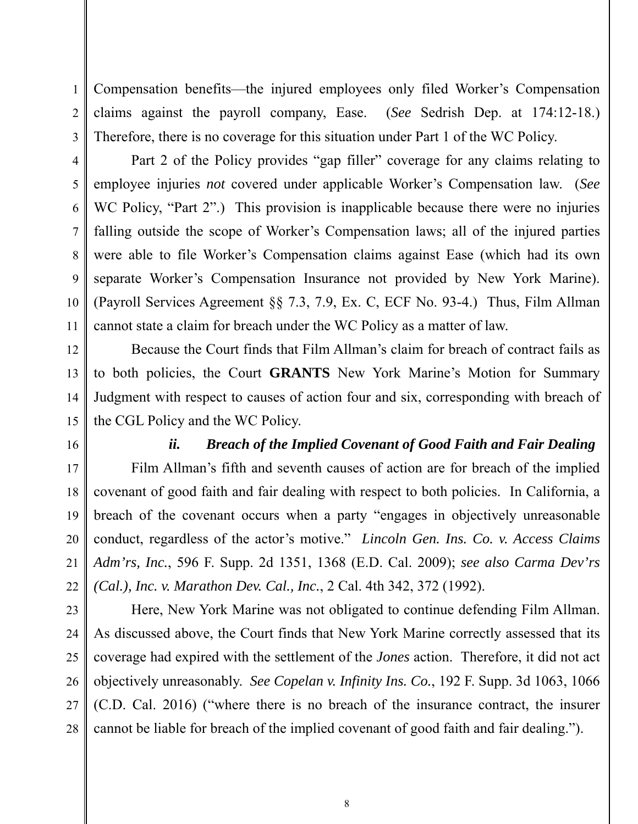Compensation benefits—the injured employees only filed Worker's Compensation claims against the payroll company, Ease. (*See* Sedrish Dep. at 174:12-18.) Therefore, there is no coverage for this situation under Part 1 of the WC Policy.

Part 2 of the Policy provides "gap filler" coverage for any claims relating to employee injuries *not* covered under applicable Worker's Compensation law. (*See* WC Policy, "Part 2".) This provision is inapplicable because there were no injuries falling outside the scope of Worker's Compensation laws; all of the injured parties were able to file Worker's Compensation claims against Ease (which had its own separate Worker's Compensation Insurance not provided by New York Marine). (Payroll Services Agreement §§ 7.3, 7.9, Ex. C, ECF No. 93-4.) Thus, Film Allman cannot state a claim for breach under the WC Policy as a matter of law.

Because the Court finds that Film Allman's claim for breach of contract fails as to both policies, the Court **GRANTS** New York Marine's Motion for Summary Judgment with respect to causes of action four and six, corresponding with breach of the CGL Policy and the WC Policy.

16

1

2

3

4

5

6

7

8

9

10

11

12

13

14

15

17

18

19

20

21

22

23

24

25

26

27

28

## *ii. Breach of the Implied Covenant of Good Faith and Fair Dealing*

 Film Allman's fifth and seventh causes of action are for breach of the implied covenant of good faith and fair dealing with respect to both policies. In California, a breach of the covenant occurs when a party "engages in objectively unreasonable conduct, regardless of the actor's motive." *Lincoln Gen. Ins. Co. v. Access Claims Adm'rs, Inc.*, 596 F. Supp. 2d 1351, 1368 (E.D. Cal. 2009); *see also Carma Dev'rs (Cal.), Inc. v. Marathon Dev. Cal., Inc.*, 2 Cal. 4th 342, 372 (1992).

 Here, New York Marine was not obligated to continue defending Film Allman. As discussed above, the Court finds that New York Marine correctly assessed that its coverage had expired with the settlement of the *Jones* action. Therefore, it did not act objectively unreasonably. *See Copelan v. Infinity Ins. Co.*, 192 F. Supp. 3d 1063, 1066 (C.D. Cal. 2016) ("where there is no breach of the insurance contract, the insurer cannot be liable for breach of the implied covenant of good faith and fair dealing.").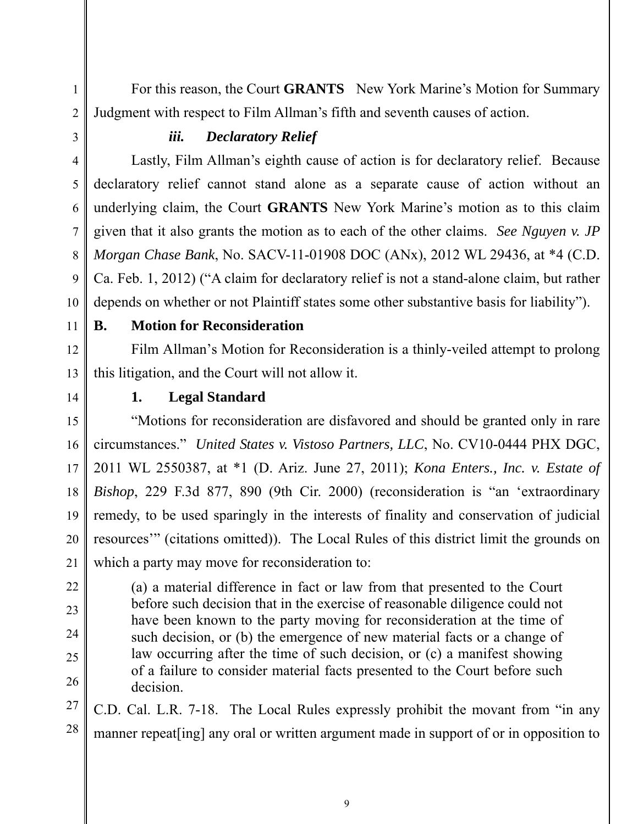For this reason, the Court **GRANTS** New York Marine's Motion for Summary Judgment with respect to Film Allman's fifth and seventh causes of action.

# *iii. Declaratory Relief*

Lastly, Film Allman's eighth cause of action is for declaratory relief. Because declaratory relief cannot stand alone as a separate cause of action without an underlying claim, the Court **GRANTS** New York Marine's motion as to this claim given that it also grants the motion as to each of the other claims. *See Nguyen v. JP Morgan Chase Bank*, No. SACV-11-01908 DOC (ANx), 2012 WL 29436, at \*4 (C.D. Ca. Feb. 1, 2012) ("A claim for declaratory relief is not a stand-alone claim, but rather depends on whether or not Plaintiff states some other substantive basis for liability").

11

12

13

10

1

2

3

4

5

6

7

8

9

## **B. Motion for Reconsideration**

Film Allman's Motion for Reconsideration is a thinly-veiled attempt to prolong this litigation, and the Court will not allow it.

14

22

23

24

25

26

# **1. Legal Standard**

15 16 17 18 19 20 21 "Motions for reconsideration are disfavored and should be granted only in rare circumstances." *United States v. Vistoso Partners, LLC*, No. CV10-0444 PHX DGC, 2011 WL 2550387, at \*1 (D. Ariz. June 27, 2011); *Kona Enters., Inc. v. Estate of Bishop*, 229 F.3d 877, 890 (9th Cir. 2000) (reconsideration is "an 'extraordinary remedy, to be used sparingly in the interests of finality and conservation of judicial resources'" (citations omitted)). The Local Rules of this district limit the grounds on which a party may move for reconsideration to:

(a) a material difference in fact or law from that presented to the Court before such decision that in the exercise of reasonable diligence could not have been known to the party moving for reconsideration at the time of such decision, or (b) the emergence of new material facts or a change of law occurring after the time of such decision, or (c) a manifest showing of a failure to consider material facts presented to the Court before such decision.

27 28 C.D. Cal. L.R. 7-18. The Local Rules expressly prohibit the movant from "in any manner repeat[ing] any oral or written argument made in support of or in opposition to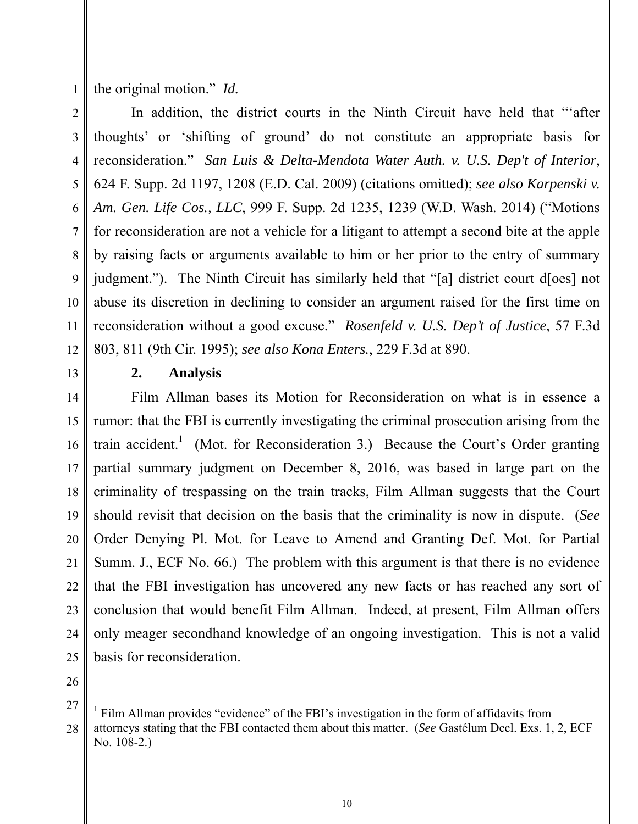the original motion." *Id.*

2 3 4 5 6 7 8 9 10 11 12 In addition, the district courts in the Ninth Circuit have held that "'after thoughts' or 'shifting of ground' do not constitute an appropriate basis for reconsideration." *San Luis & Delta-Mendota Water Auth. v. U.S. Dep't of Interior*, 624 F. Supp. 2d 1197, 1208 (E.D. Cal. 2009) (citations omitted); *see also Karpenski v. Am. Gen. Life Cos., LLC*, 999 F. Supp. 2d 1235, 1239 (W.D. Wash. 2014) ("Motions for reconsideration are not a vehicle for a litigant to attempt a second bite at the apple by raising facts or arguments available to him or her prior to the entry of summary judgment."). The Ninth Circuit has similarly held that "[a] district court d[oes] not abuse its discretion in declining to consider an argument raised for the first time on reconsideration without a good excuse." *Rosenfeld v. U.S. Dep't of Justice*, 57 F.3d 803, 811 (9th Cir. 1995); *see also Kona Enters.*, 229 F.3d at 890.

13 14

#### **2. Analysis**

15 16 17 18 19 20 21 22 23 24 25 Film Allman bases its Motion for Reconsideration on what is in essence a rumor: that the FBI is currently investigating the criminal prosecution arising from the train accident.<sup>1</sup> (Mot. for Reconsideration 3.) Because the Court's Order granting partial summary judgment on December 8, 2016, was based in large part on the criminality of trespassing on the train tracks, Film Allman suggests that the Court should revisit that decision on the basis that the criminality is now in dispute. (*See* Order Denying Pl. Mot. for Leave to Amend and Granting Def. Mot. for Partial Summ. J., ECF No. 66.) The problem with this argument is that there is no evidence that the FBI investigation has uncovered any new facts or has reached any sort of conclusion that would benefit Film Allman. Indeed, at present, Film Allman offers only meager secondhand knowledge of an ongoing investigation. This is not a valid basis for reconsideration.

26

 $\overline{a}$ 

<sup>27</sup> 28 1 Film Allman provides "evidence" of the FBI's investigation in the form of affidavits from attorneys stating that the FBI contacted them about this matter. (*See* Gastélum Decl. Exs. 1, 2, ECF No. 108-2.)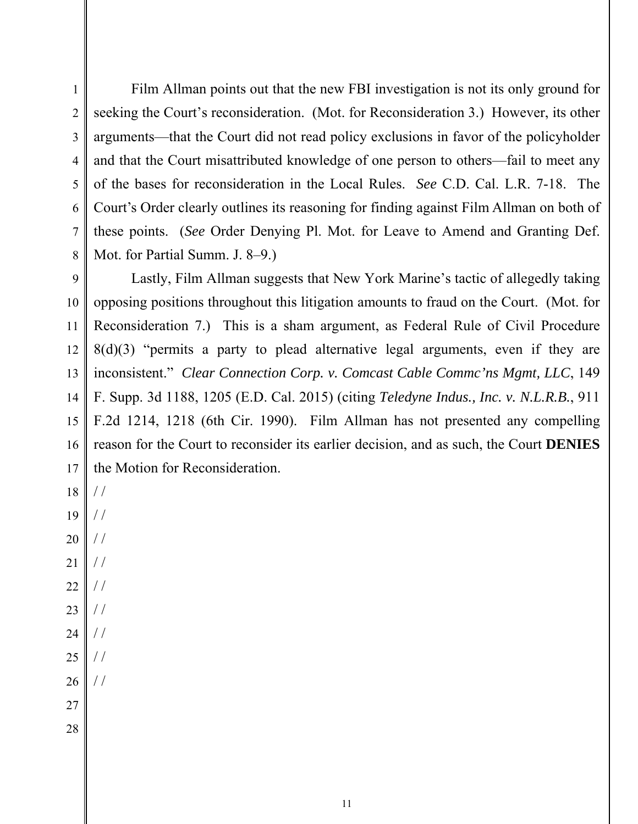/ /

/ /

/ /

/ /

/ /

/ /

/ /

 $/$ 

/ /

 Film Allman points out that the new FBI investigation is not its only ground for seeking the Court's reconsideration. (Mot. for Reconsideration 3.) However, its other arguments—that the Court did not read policy exclusions in favor of the policyholder and that the Court misattributed knowledge of one person to others—fail to meet any of the bases for reconsideration in the Local Rules. *See* C.D. Cal. L.R. 7-18. The Court's Order clearly outlines its reasoning for finding against Film Allman on both of these points. (*See* Order Denying Pl. Mot. for Leave to Amend and Granting Def. Mot. for Partial Summ. J. 8–9.)

 Lastly, Film Allman suggests that New York Marine's tactic of allegedly taking opposing positions throughout this litigation amounts to fraud on the Court. (Mot. for Reconsideration 7.) This is a sham argument, as Federal Rule of Civil Procedure 8(d)(3) "permits a party to plead alternative legal arguments, even if they are inconsistent." *Clear Connection Corp. v. Comcast Cable Commc'ns Mgmt, LLC*, 149 F. Supp. 3d 1188, 1205 (E.D. Cal. 2015) (citing *Teledyne Indus., Inc. v. N.L.R.B.*, 911 F.2d 1214, 1218 (6th Cir. 1990). Film Allman has not presented any compelling reason for the Court to reconsider its earlier decision, and as such, the Court **DENIES** the Motion for Reconsideration.